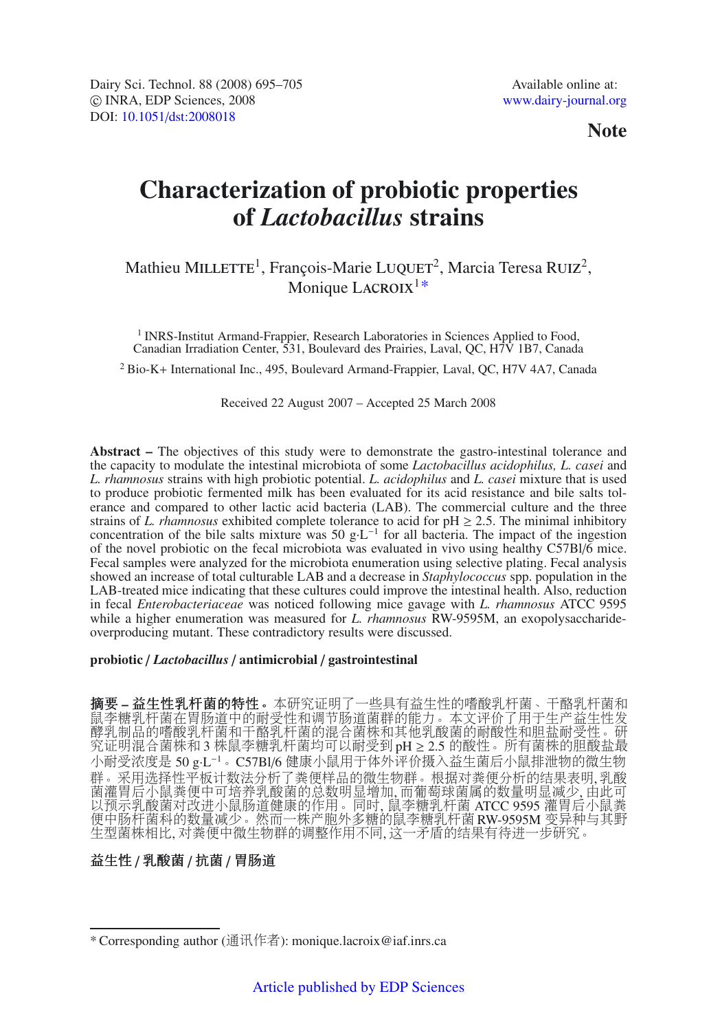**Note**

# **Characterization of probiotic properties of** *Lactobacillus* **strains**

# Mathieu MILLETTE<sup>1</sup>, François-Marie LUQUET<sup>2</sup>, Marcia Teresa RUIZ<sup>2</sup>, Monique LACROI $x^{1*}$

<sup>1</sup> INRS-Institut Armand-Frappier, Research Laboratories in Sciences Applied to Food, Canadian Irradiation Center, 531, Boulevard des Prairies, Laval, QC, H7V 1B7, Canada

<sup>2</sup> Bio-K+ International Inc., 495, Boulevard Armand-Frappier, Laval, QC, H7V 4A7, Canada

Received 22 August 2007 – Accepted 25 March 2008

**Abstract –** The objectives of this study were to demonstrate the gastro-intestinal tolerance and the capacity to modulate the intestinal microbiota of some *Lactobacillus acidophilus, L. casei* and *L. rhamnosus* strains with high probiotic potential. *L. acidophilus* and *L. casei* mixture that is used to produce probiotic fermented milk has been evaluated for its acid resistance and bile salts tolerance and compared to other lactic acid bacteria (LAB). The commercial culture and the three strains of *L. rhamnosus* exhibited complete tolerance to acid for  $pH \ge 2.5$ . The minimal inhibitory concentration of the bile salts mixture was 50 g·L<sup>−1</sup> for all bacteria. The impact of the ingestion of the novel probiotic on the fecal microbiota was evaluated in vivo using healthy C57Bl/6 mice. Fecal samples were analyzed for the microbiota enumeration using selective plating. Fecal analysis showed an increase of total culturable LAB and a decrease in *Staphylococcus* spp. population in the LAB-treated mice indicating that these cultures could improve the intestinal health. Also, reduction in fecal *Enterobacteriaceae* was noticed following mice gavage with *L. rhamnosus* ATCC 9595 while a higher enumeration was measured for *L. rhamnosus* RW-9595M, an exopolysaccharideoverproducing mutant. These contradictory results were discussed.

## **probiotic** / *Lactobacillus* / **antimicrobial** / **gastrointestinal**

摘要 **–** 益生性乳杆菌的特性。本研究证明了一些具有益生性的嗜酸乳杆菌、干酪乳杆菌和 鼠李糖乳杆菌在胃肠道中的耐受性和调节肠道菌群的能力。本文评价了用于生产益生性发 酵乳制品的嗜酸乳杆菌和干酪乳杆菌的混合菌株和其他乳酸菌的耐酸性和胆盐耐受性。研 究证明混合菌株和 3 株鼠李糖乳杆菌均可以耐受到 pH ≥ 2.5 的酸性。所有菌株的胆酸盐最 小耐受浓度是 50 g·L−<sup>1</sup>。C57Bl/6 健康小鼠用于体外评价摄入益生菌后小鼠排泄物的微生物 群。采用选择性平板计数法分析了粪便样品的微生物群。根据对粪便分析的结果表明,乳酸 菌灌胃后小鼠粪便中可培养乳酸菌的总数明显增加, 而葡萄球菌属的数量明显减少, 由此可 以预示乳酸菌对改进小鼠肠道健康的作用。同时, 鼠李糖乳杆菌 ATCC 9595 灌胃后小鼠粪 便中肠杆菌科的数量减少。然而一株产胞外多糖的鼠李糖乳杆菌 RW-9595M 变异种与其野 生型菌株相比, 对粪便中微生物群的调整作用不同, 这一矛盾的结果有待进一步研究。

# 益生性 / 乳酸菌 / 抗菌 / 胃肠道

<sup>\*</sup> Corresponding author (通讯作者): monique.lacroix@iaf.inrs.ca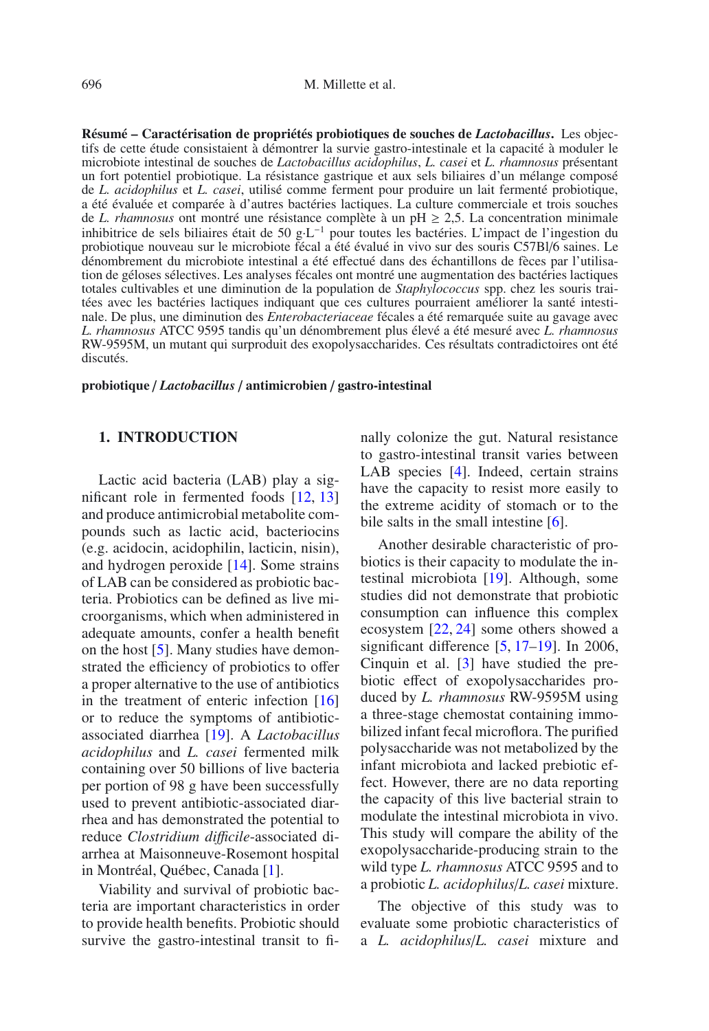**Résumé – Caractérisation de propriétés probiotiques de souches de** *Lactobacillus***.** Les objectifs de cette étude consistaient à démontrer la survie gastro-intestinale et la capacité à moduler le microbiote intestinal de souches de *Lactobacillus acidophilus*, *L. casei* et *L. rhamnosus* présentant un fort potentiel probiotique. La résistance gastrique et aux sels biliaires d'un mélange composé de *L. acidophilus* et *L. casei*, utilisé comme ferment pour produire un lait fermenté probiotique, a été évaluée et comparée à d'autres bactéries lactiques. La culture commerciale et trois souches de *L. rhamnosus* ont montré une résistance complète à un pH  $\geq$  2,5. La concentration minimale inhibitrice de sels biliaires était de 50 g·L−<sup>1</sup> pour toutes les bactéries. L'impact de l'ingestion du probiotique nouveau sur le microbiote fécal a été évalué in vivo sur des souris C57Bl/6 saines. Le dénombrement du microbiote intestinal a été effectué dans des échantillons de fèces par l'utilisation de géloses sélectives. Les analyses fécales ont montré une augmentation des bactéries lactiques totales cultivables et une diminution de la population de *Staphylococcus* spp. chez les souris traitées avec les bactéries lactiques indiquant que ces cultures pourraient améliorer la santé intestinale. De plus, une diminution des *Enterobacteriaceae* fécales a été remarquée suite au gavage avec *L. rhamnosus* ATCC 9595 tandis qu'un dénombrement plus élevé a été mesuré avec *L. rhamnosus* RW-9595M, un mutant qui surproduit des exopolysaccharides. Ces résultats contradictoires ont été discutés.

**probiotique** / *Lactobacillus* / **antimicrobien** / **gastro-intestinal**

# **1. INTRODUCTION**

Lactic acid bacteria (LAB) play a significant role in fermented foods [\[12,](#page-9-0) [13\]](#page-9-1) and produce antimicrobial metabolite compounds such as lactic acid, bacteriocins (e.g. acidocin, acidophilin, lacticin, nisin), and hydrogen peroxide [\[14](#page-9-2)]. Some strains of LAB can be considered as probiotic bacteria. Probiotics can be defined as live microorganisms, which when administered in adequate amounts, confer a health benefit on the host [\[5](#page-9-3)]. Many studies have demonstrated the efficiency of probiotics to offer a proper alternative to the use of antibiotics in the treatment of enteric infection [\[16\]](#page-9-4) or to reduce the symptoms of antibioticassociated diarrhea [\[19\]](#page-10-0). A *Lactobacillus acidophilus* and *L. casei* fermented milk containing over 50 billions of live bacteria per portion of 98 g have been successfully used to prevent antibiotic-associated diarrhea and has demonstrated the potential to reduce *Clostridium di*ffi*cile*-associated diarrhea at Maisonneuve-Rosemont hospital in Montréal, Québec, Canada [\[1\]](#page-9-5).

Viability and survival of probiotic bacteria are important characteristics in order to provide health benefits. Probiotic should survive the gastro-intestinal transit to finally colonize the gut. Natural resistance to gastro-intestinal transit varies between LAB species [\[4\]](#page-9-6). Indeed, certain strains have the capacity to resist more easily to the extreme acidity of stomach or to the bile salts in the small intestine [\[6](#page-9-7)].

Another desirable characteristic of probiotics is their capacity to modulate the intestinal microbiota [\[19](#page-10-0)]. Although, some studies did not demonstrate that probiotic consumption can influence this complex ecosystem [\[22,](#page-10-1) [24\]](#page-10-2) some others showed a significant difference  $[5, 17-19]$  $[5, 17-19]$  $[5, 17-19]$  $[5, 17-19]$ . In 2006, Cinquin et al. [\[3\]](#page-9-8) have studied the prebiotic effect of exopolysaccharides produced by *L. rhamnosus* RW-9595M using a three-stage chemostat containing immobilized infant fecal microflora. The purified polysaccharide was not metabolized by the infant microbiota and lacked prebiotic effect. However, there are no data reporting the capacity of this live bacterial strain to modulate the intestinal microbiota in vivo. This study will compare the ability of the exopolysaccharide-producing strain to the wild type *L. rhamnosus* ATCC 9595 and to a probiotic *L. acidophilus*/*L. casei* mixture.

The objective of this study was to evaluate some probiotic characteristics of a *L. acidophilus*/*L. casei* mixture and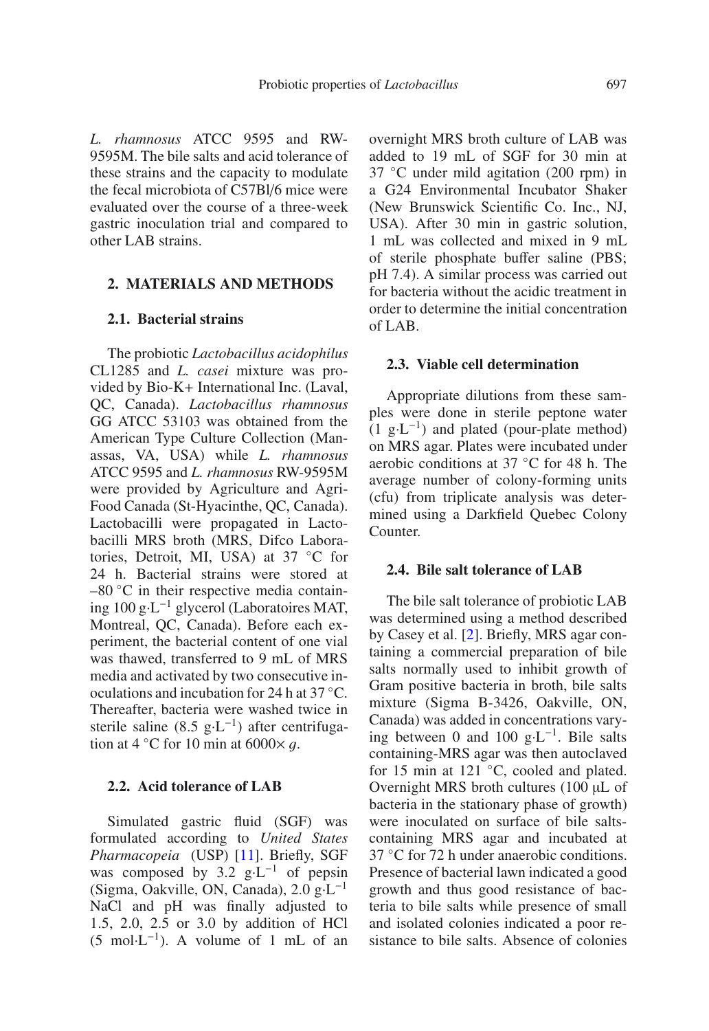*L. rhamnosus* ATCC 9595 and RW-9595M. The bile salts and acid tolerance of these strains and the capacity to modulate the fecal microbiota of C57Bl/6 mice were evaluated over the course of a three-week gastric inoculation trial and compared to other LAB strains.

## **2. MATERIALS AND METHODS**

## **2.1. Bacterial strains**

The probiotic *Lactobacillus acidophilus* CL1285 and *L. casei* mixture was provided by Bio-K+ International Inc. (Laval, QC, Canada). *Lactobacillus rhamnosus* GG ATCC 53103 was obtained from the American Type Culture Collection (Manassas, VA, USA) while *L. rhamnosus* ATCC 9595 and *L. rhamnosus* RW-9595M were provided by Agriculture and Agri-Food Canada (St-Hyacinthe, QC, Canada). Lactobacilli were propagated in Lactobacilli MRS broth (MRS, Difco Laboratories, Detroit, MI, USA) at 37 ◦C for 24 h. Bacterial strains were stored at  $-80$  °C in their respective media containing 100 g·L−<sup>1</sup> glycerol (Laboratoires MAT, Montreal, QC, Canada). Before each experiment, the bacterial content of one vial was thawed, transferred to 9 mL of MRS media and activated by two consecutive inoculations and incubation for 24 h at 37 ◦C. Thereafter, bacteria were washed twice in sterile saline (8.5 g⋅L<sup>-1</sup>) after centrifugation at 4  $°C$  for 10 min at 6000 $\times$  q.

# **2.2. Acid tolerance of LAB**

Simulated gastric fluid (SGF) was formulated according to *United States Pharmacopeia* (USP) [\[11](#page-9-9)]. Briefly, SGF was composed by 3.2 g·L−<sup>1</sup> of pepsin (Sigma, Oakville, ON, Canada), 2.0 g·L−<sup>1</sup> NaCl and pH was finally adjusted to 1.5, 2.0, 2.5 or 3.0 by addition of HCl  $(5 \text{ mol} \cdot \text{L}^{-1})$ . A volume of 1 mL of an overnight MRS broth culture of LAB was added to 19 mL of SGF for 30 min at 37 ◦C under mild agitation (200 rpm) in a G24 Environmental Incubator Shaker (New Brunswick Scientific Co. Inc., NJ, USA). After 30 min in gastric solution, 1 mL was collected and mixed in 9 mL of sterile phosphate buffer saline (PBS; pH 7.4). A similar process was carried out for bacteria without the acidic treatment in order to determine the initial concentration of LAB.

#### **2.3. Viable cell determination**

Appropriate dilutions from these samples were done in sterile peptone water  $(1 \text{ g} \cdot \text{L}^{-1})$  and plated (pour-plate method) on MRS agar. Plates were incubated under aerobic conditions at 37 ◦C for 48 h. The average number of colony-forming units (cfu) from triplicate analysis was determined using a Darkfield Quebec Colony Counter.

#### **2.4. Bile salt tolerance of LAB**

The bile salt tolerance of probiotic LAB was determined using a method described by Casey et al. [\[2\]](#page-9-10). Briefly, MRS agar containing a commercial preparation of bile salts normally used to inhibit growth of Gram positive bacteria in broth, bile salts mixture (Sigma B-3426, Oakville, ON, Canada) was added in concentrations varying between 0 and 100  $g \cdot L^{-1}$ . Bile salts containing-MRS agar was then autoclaved for 15 min at 121 ◦C, cooled and plated. Overnight MRS broth cultures (100 µL of bacteria in the stationary phase of growth) were inoculated on surface of bile saltscontaining MRS agar and incubated at 37 ◦C for 72 h under anaerobic conditions. Presence of bacterial lawn indicated a good growth and thus good resistance of bacteria to bile salts while presence of small and isolated colonies indicated a poor resistance to bile salts. Absence of colonies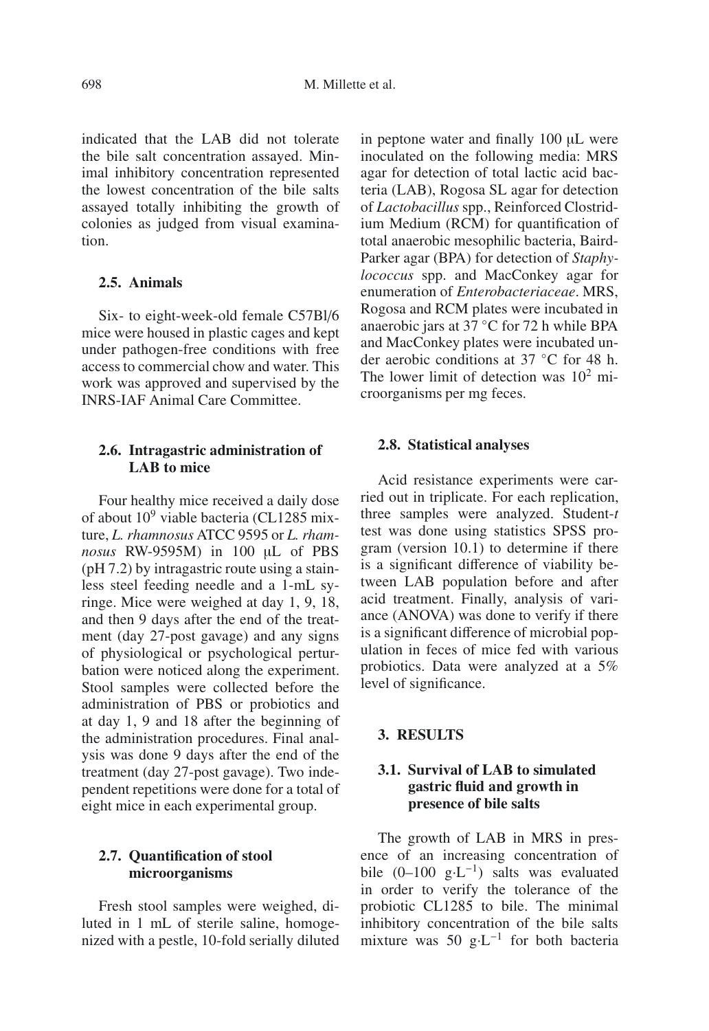indicated that the LAB did not tolerate the bile salt concentration assayed. Minimal inhibitory concentration represented the lowest concentration of the bile salts assayed totally inhibiting the growth of colonies as judged from visual examination.

# **2.5. Animals**

Six- to eight-week-old female C57Bl/6 mice were housed in plastic cages and kept under pathogen-free conditions with free access to commercial chow and water. This work was approved and supervised by the INRS-IAF Animal Care Committee.

# **2.6. Intragastric administration of LAB to mice**

Four healthy mice received a daily dose of about  $10^9$  viable bacteria (CL1285 mixture, *L. rhamnosus* ATCC 9595 or *L. rhamnosus* RW-9595M) in 100 µL of PBS (pH 7.2) by intragastric route using a stainless steel feeding needle and a 1-mL syringe. Mice were weighed at day 1, 9, 18, and then 9 days after the end of the treatment (day 27-post gavage) and any signs of physiological or psychological perturbation were noticed along the experiment. Stool samples were collected before the administration of PBS or probiotics and at day 1, 9 and 18 after the beginning of the administration procedures. Final analysis was done 9 days after the end of the treatment (day 27-post gavage). Two independent repetitions were done for a total of eight mice in each experimental group.

# **2.7. Quantification of stool microorganisms**

Fresh stool samples were weighed, diluted in 1 mL of sterile saline, homogenized with a pestle, 10-fold serially diluted in peptone water and finally 100 µL were inoculated on the following media: MRS agar for detection of total lactic acid bacteria (LAB), Rogosa SL agar for detection of *Lactobacillus* spp., Reinforced Clostridium Medium (RCM) for quantification of total anaerobic mesophilic bacteria, Baird-Parker agar (BPA) for detection of *Staphylococcus* spp. and MacConkey agar for enumeration of *Enterobacteriaceae*. MRS, Rogosa and RCM plates were incubated in anaerobic jars at 37 ◦C for 72 h while BPA and MacConkey plates were incubated under aerobic conditions at 37 ◦C for 48 h. The lower limit of detection was  $10^2$  microorganisms per mg feces.

## **2.8. Statistical analyses**

Acid resistance experiments were carried out in triplicate. For each replication, three samples were analyzed. Student-*t* test was done using statistics SPSS program (version 10.1) to determine if there is a significant difference of viability between LAB population before and after acid treatment. Finally, analysis of variance (ANOVA) was done to verify if there is a significant difference of microbial population in feces of mice fed with various probiotics. Data were analyzed at a 5% level of significance.

## **3. RESULTS**

# **3.1. Survival of LAB to simulated gastric fluid and growth in presence of bile salts**

The growth of LAB in MRS in presence of an increasing concentration of bile (0–100 g·L−1) salts was evaluated in order to verify the tolerance of the probiotic CL1285 to bile. The minimal inhibitory concentration of the bile salts mixture was 50 g·L−<sup>1</sup> for both bacteria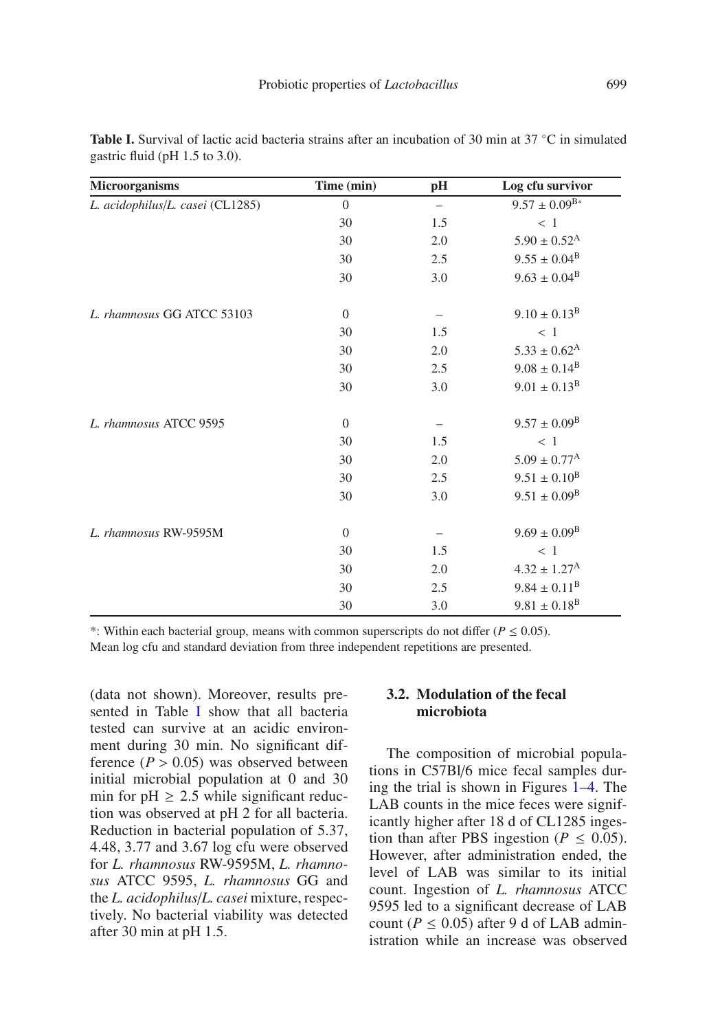| Microorganisms                   | Time (min)       | $\mathbf{p} \mathbf{H}$  | Log cfu survivor             |
|----------------------------------|------------------|--------------------------|------------------------------|
| L. acidophilus/L. casei (CL1285) | $\boldsymbol{0}$ | $\overline{\phantom{0}}$ | $9.57 \pm 0.09^{B*}$         |
|                                  | 30               | 1.5                      | < 1                          |
|                                  | 30               | 2.0                      | $5.90 \pm 0.52^{\rm A}$      |
|                                  | 30               | 2.5                      | $9.55 \pm 0.04^{\rm B}$      |
|                                  | 30               | 3.0                      | $9.63 \pm 0.04^{\rm B}$      |
| L. rhamnosus GG ATCC 53103       | $\mathbf{0}$     |                          | $9.10 \pm 0.13^{\rm B}$      |
|                                  | 30               | 1.5                      | < 1                          |
|                                  | 30               | 2.0                      | $5.33 \pm 0.62^{\rm A}$      |
|                                  | 30               | 2.5                      | $9.08 \pm 0.14^{\rm B}$      |
|                                  | 30               | 3.0                      | $9.01 \pm 0.13^{\rm B}$      |
| L. rhamnosus ATCC 9595           | $\overline{0}$   |                          | $9.57 \pm 0.09^{\rm B}$      |
|                                  | 30               | 1.5                      | < 1                          |
|                                  | 30               | 2.0                      | $5.09 \pm 0.77$ <sup>A</sup> |
|                                  | 30               | 2.5                      | $9.51 \pm 0.10^{\text{B}}$   |
|                                  | 30               | 3.0                      | $9.51 \pm 0.09^{\rm B}$      |
| L. rhamnosus RW-9595M            | $\mathbf{0}$     |                          | $9.69 \pm 0.09^{\rm B}$      |
|                                  | 30               | 1.5                      | < 1                          |
|                                  | 30               | 2.0                      | $4.32 \pm 1.27^{\rm A}$      |
|                                  | 30               | 2.5                      | $9.84 \pm 0.11^{\rm B}$      |
|                                  | 30               | 3.0                      | $9.81 \pm 0.18$ <sup>B</sup> |

<span id="page-4-0"></span>**Table I.** Survival of lactic acid bacteria strains after an incubation of 30 min at 37 ◦C in simulated gastric fluid (pH 1.5 to 3.0).

\*: Within each bacterial group, means with common superscripts do not differ  $(P \le 0.05)$ . Mean log cfu and standard deviation from three independent repetitions are presented.

(data not shown). Moreover, results presented in Table [I](#page-4-0) show that all bacteria tested can survive at an acidic environment during 30 min. No significant difference  $(P > 0.05)$  was observed between initial microbial population at 0 and 30 min for  $pH \ge 2.5$  while significant reduction was observed at pH 2 for all bacteria. Reduction in bacterial population of 5.37, 4.48, 3.77 and 3.67 log cfu were observed for *L. rhamnosus* RW-9595M, *L. rhamnosus* ATCC 9595, *L. rhamnosus* GG and the *L. acidophilus*/*L. casei* mixture, respectively. No bacterial viability was detected after 30 min at pH 1.5.

# **3.2. Modulation of the fecal microbiota**

The composition of microbial populations in C57Bl/6 mice fecal samples during the trial is shown in Figures [1–](#page-5-0)[4.](#page-7-0) The LAB counts in the mice feces were significantly higher after 18 d of CL1285 ingestion than after PBS ingestion ( $P \leq 0.05$ ). However, after administration ended, the level of LAB was similar to its initial count. Ingestion of *L. rhamnosus* ATCC 9595 led to a significant decrease of LAB count ( $P \le 0.05$ ) after 9 d of LAB administration while an increase was observed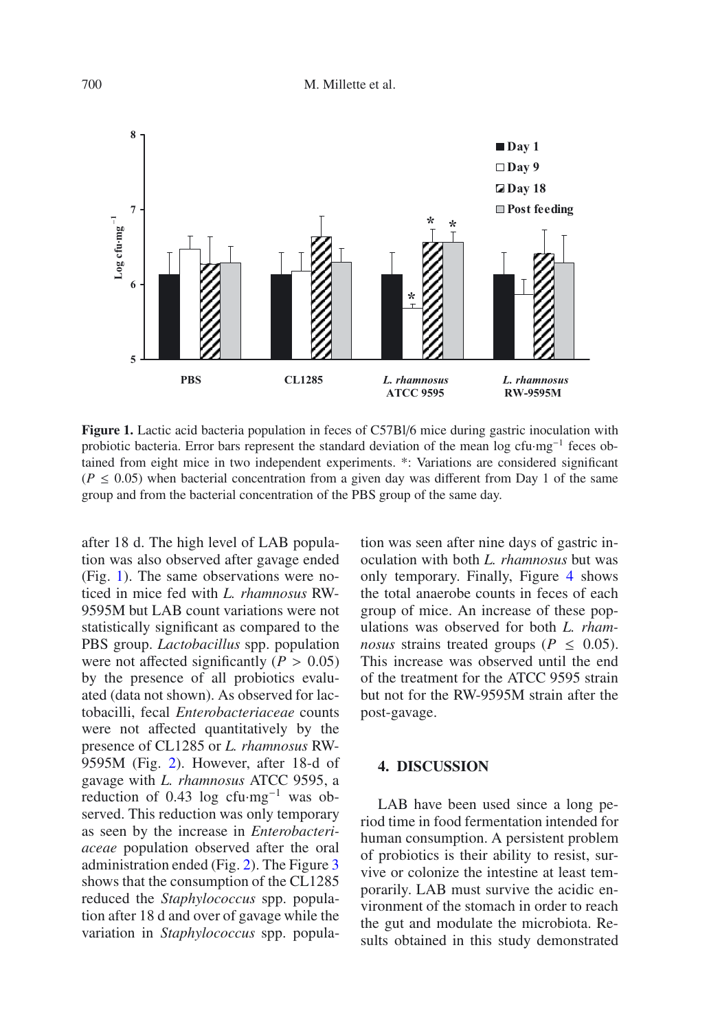<span id="page-5-0"></span>

Figure 1. Lactic acid bacteria population in feces of C57Bl/6 mice during gastric inoculation with probiotic bacteria. Error bars represent the standard deviation of the mean log cfu·mg−<sup>1</sup> feces obtained from eight mice in two independent experiments. \*: Variations are considered significant  $(P \le 0.05)$  when bacterial concentration from a given day was different from Day 1 of the same group and from the bacterial concentration of the PBS group of the same day.

after 18 d. The high level of LAB population was also observed after gavage ended (Fig. [1\)](#page-5-0). The same observations were noticed in mice fed with *L. rhamnosus* RW-9595M but LAB count variations were not statistically significant as compared to the PBS group. *Lactobacillus* spp. population were not affected significantly ( $P > 0.05$ ) by the presence of all probiotics evaluated (data not shown). As observed for lactobacilli, fecal *Enterobacteriaceae* counts were not affected quantitatively by the presence of CL1285 or *L. rhamnosus* RW-9595M (Fig. [2\)](#page-6-0). However, after 18-d of gavage with *L. rhamnosus* ATCC 9595, a reduction of 0.43 log cfu·mg−<sup>1</sup> was observed. This reduction was only temporary as seen by the increase in *Enterobacteriaceae* population observed after the oral administration ended (Fig. [2\)](#page-6-0). The Figure [3](#page-6-1) shows that the consumption of the CL1285 reduced the *Staphylococcus* spp. population after 18 d and over of gavage while the variation in *Staphylococcus* spp. population was seen after nine days of gastric inoculation with both *L. rhamnosus* but was only temporary. Finally, Figure [4](#page-7-0) shows the total anaerobe counts in feces of each group of mice. An increase of these populations was observed for both *L. rhamnosus* strains treated groups ( $P \leq 0.05$ ).<br>This increase was observed until the end of the treatment for the ATCC 9595 strain but not for the RW-9595M strain after the post-gavage.

#### **4. DISCUSSION**

LAB have been used since a long period time in food fermentation intended for human consumption. A persistent problem of probiotics is their ability to resist, survive or colonize the intestine at least temporarily. LAB must survive the acidic environment of the stomach in order to reach the gut and modulate the microbiota. Results obtained in this study demonstrated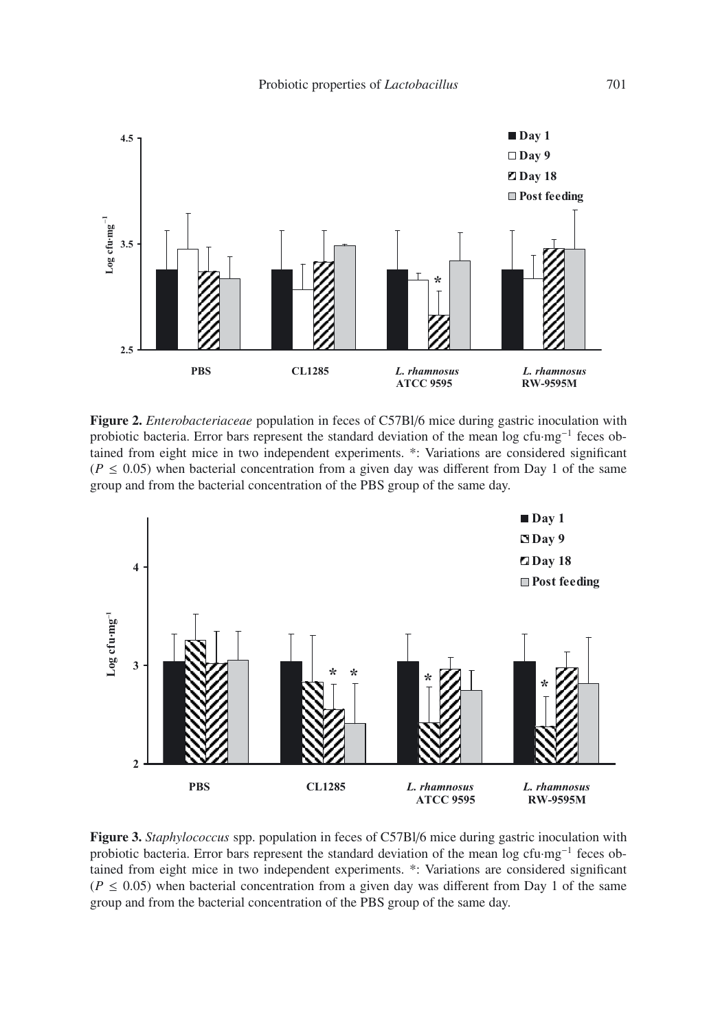<span id="page-6-0"></span>

**Figure 2.** *Enterobacteriaceae* population in feces of C57Bl/6 mice during gastric inoculation with probiotic bacteria. Error bars represent the standard deviation of the mean log cfu·mg<sup>-1</sup> feces obtained from eight mice in two independent experiments. \*: Variations are considered significant  $(P \le 0.05)$  when bacterial concentration from a given day was different from Day 1 of the same group and from the bacterial concentration of the PBS group of the same day.

<span id="page-6-1"></span>

**Figure 3.** *Staphylococcus* spp. population in feces of C57Bl/6 mice during gastric inoculation with probiotic bacteria. Error bars represent the standard deviation of the mean log cfu·mg−<sup>1</sup> feces obtained from eight mice in two independent experiments. \*: Variations are considered significant  $(P \le 0.05)$  when bacterial concentration from a given day was different from Day 1 of the same group and from the bacterial concentration of the PBS group of the same day.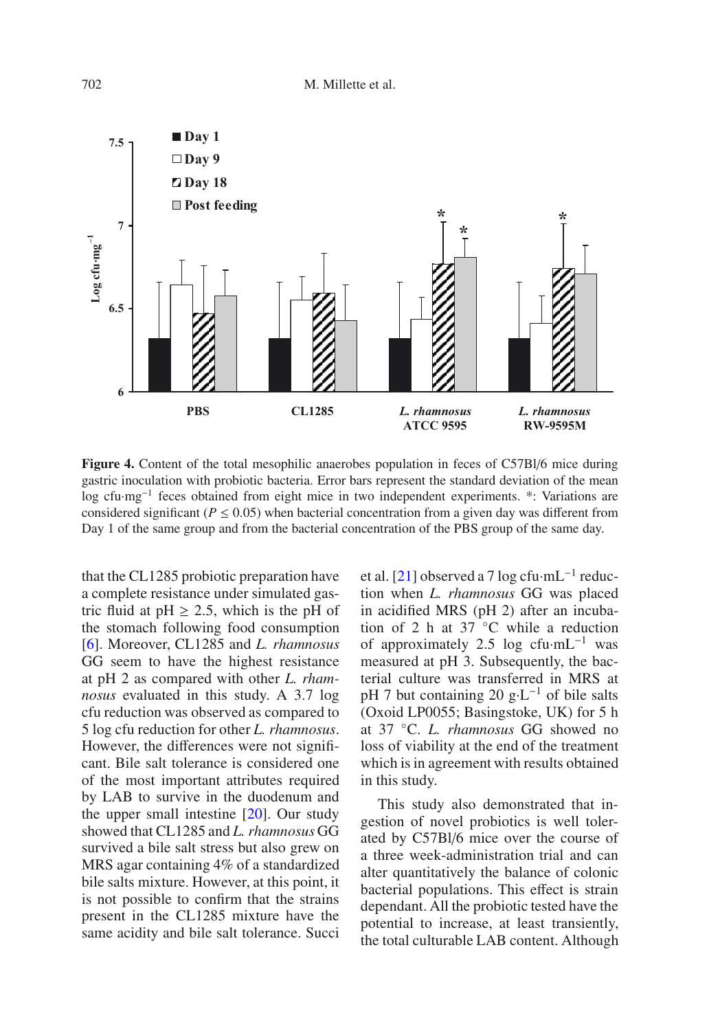<span id="page-7-0"></span>

**Figure 4.** Content of the total mesophilic anaerobes population in feces of C57Bl/6 mice during gastric inoculation with probiotic bacteria. Error bars represent the standard deviation of the mean log cfu·mg−<sup>1</sup> feces obtained from eight mice in two independent experiments. \*: Variations are considered significant ( $P \le 0.05$ ) when bacterial concentration from a given day was different from Day 1 of the same group and from the bacterial concentration of the PBS group of the same day.

that the CL1285 probiotic preparation have a complete resistance under simulated gastric fluid at  $pH \geq 2.5$ , which is the pH of the stomach following food consumption [\[6](#page-9-7)]. Moreover, CL1285 and *L. rhamnosus* GG seem to have the highest resistance at pH 2 as compared with other *L. rhamnosus* evaluated in this study. A 3.7 log cfu reduction was observed as compared to 5 log cfu reduction for other *L. rhamnosus*. However, the differences were not significant. Bile salt tolerance is considered one of the most important attributes required by LAB to survive in the duodenum and the upper small intestine [\[20](#page-10-4)]. Our study showed that CL1285 and *L. rhamnosus* GG survived a bile salt stress but also grew on MRS agar containing 4% of a standardized bile salts mixture. However, at this point, it is not possible to confirm that the strains present in the CL1285 mixture have the same acidity and bile salt tolerance. Succi et al. [\[21](#page-10-5)] observed a 7 log cfu·mL−<sup>1</sup> reduction when *L. rhamnosus* GG was placed in acidified MRS (pH 2) after an incubation of 2 h at 37 ◦C while a reduction of approximately 2.5 log cfu $\cdot$ mL<sup>-1</sup> was measured at pH 3. Subsequently, the bacterial culture was transferred in MRS at pH 7 but containing 20 g⋅L<sup>-1</sup> of bile salts (Oxoid LP0055; Basingstoke, UK) for 5 h at 37 ◦C. *L. rhamnosus* GG showed no loss of viability at the end of the treatment which is in agreement with results obtained in this study.

This study also demonstrated that ingestion of novel probiotics is well tolerated by C57Bl/6 mice over the course of a three week-administration trial and can alter quantitatively the balance of colonic bacterial populations. This effect is strain dependant. All the probiotic tested have the potential to increase, at least transiently, the total culturable LAB content. Although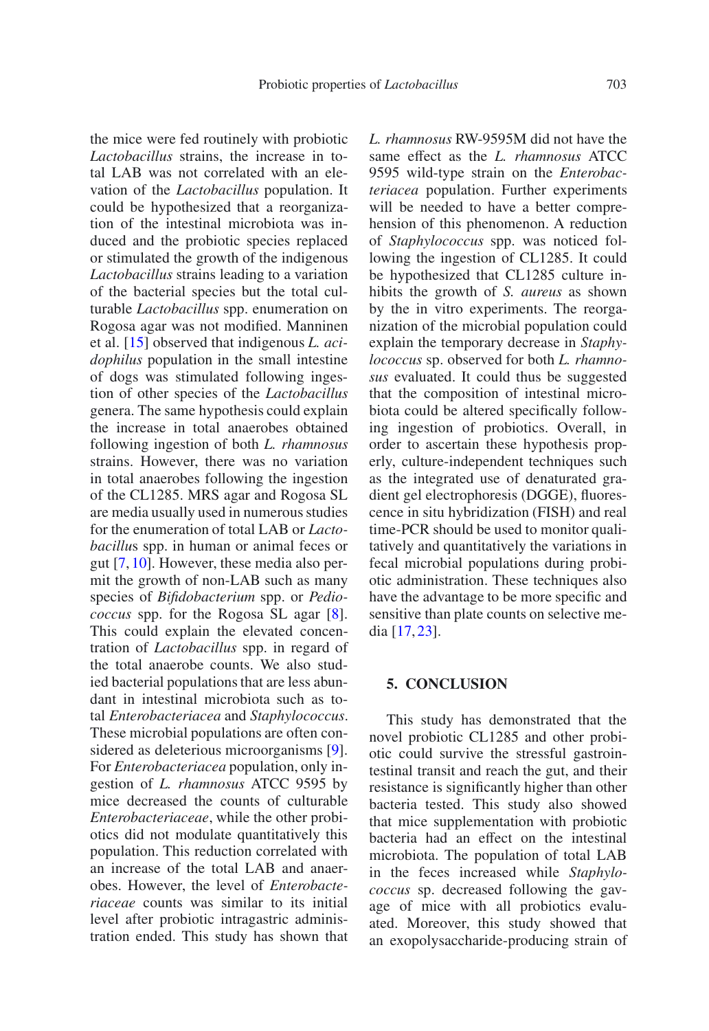the mice were fed routinely with probiotic *Lactobacillus* strains, the increase in total LAB was not correlated with an elevation of the *Lactobacillus* population. It could be hypothesized that a reorganization of the intestinal microbiota was induced and the probiotic species replaced or stimulated the growth of the indigenous *Lactobacillus* strains leading to a variation of the bacterial species but the total culturable *Lactobacillus* spp. enumeration on Rogosa agar was not modified. Manninen et al. [\[15](#page-9-11)] observed that indigenous *L. acidophilus* population in the small intestine of dogs was stimulated following ingestion of other species of the *Lactobacillus* genera. The same hypothesis could explain the increase in total anaerobes obtained following ingestion of both *L. rhamnosus* strains. However, there was no variation in total anaerobes following the ingestion of the CL1285. MRS agar and Rogosa SL are media usually used in numerous studies for the enumeration of total LAB or *Lactobacillu*s spp. in human or animal feces or gut [\[7](#page-9-12), [10\]](#page-9-13). However, these media also permit the growth of non-LAB such as many species of *Bifidobacterium* spp. or *Pediococcus* spp. for the Rogosa SL agar [\[8\]](#page-9-14). This could explain the elevated concentration of *Lactobacillus* spp. in regard of the total anaerobe counts. We also studied bacterial populations that are less abundant in intestinal microbiota such as total *Enterobacteriacea* and *Staphylococcus*. These microbial populations are often considered as deleterious microorganisms [\[9\]](#page-9-15). For *Enterobacteriacea* population, only ingestion of *L. rhamnosus* ATCC 9595 by mice decreased the counts of culturable *Enterobacteriaceae*, while the other probiotics did not modulate quantitatively this population. This reduction correlated with an increase of the total LAB and anaerobes. However, the level of *Enterobacteriaceae* counts was similar to its initial level after probiotic intragastric administration ended. This study has shown that *L. rhamnosus* RW-9595M did not have the same effect as the *L. rhamnosus* ATCC 9595 wild-type strain on the *Enterobacteriacea* population. Further experiments will be needed to have a better comprehension of this phenomenon. A reduction of *Staphylococcus* spp. was noticed following the ingestion of CL1285. It could be hypothesized that CL1285 culture inhibits the growth of *S. aureus* as shown by the in vitro experiments. The reorganization of the microbial population could explain the temporary decrease in *Staphylococcus* sp. observed for both *L. rhamnosus* evaluated. It could thus be suggested that the composition of intestinal microbiota could be altered specifically following ingestion of probiotics. Overall, in order to ascertain these hypothesis properly, culture-independent techniques such as the integrated use of denaturated gradient gel electrophoresis (DGGE), fluorescence in situ hybridization (FISH) and real time-PCR should be used to monitor qualitatively and quantitatively the variations in fecal microbial populations during probiotic administration. These techniques also have the advantage to be more specific and sensitive than plate counts on selective media [\[17,](#page-10-3) [23\]](#page-10-6).

### **5. CONCLUSION**

This study has demonstrated that the novel probiotic CL1285 and other probiotic could survive the stressful gastrointestinal transit and reach the gut, and their resistance is significantly higher than other bacteria tested. This study also showed that mice supplementation with probiotic bacteria had an effect on the intestinal microbiota. The population of total LAB in the feces increased while *Staphylococcus* sp. decreased following the gavage of mice with all probiotics evaluated. Moreover, this study showed that an exopolysaccharide-producing strain of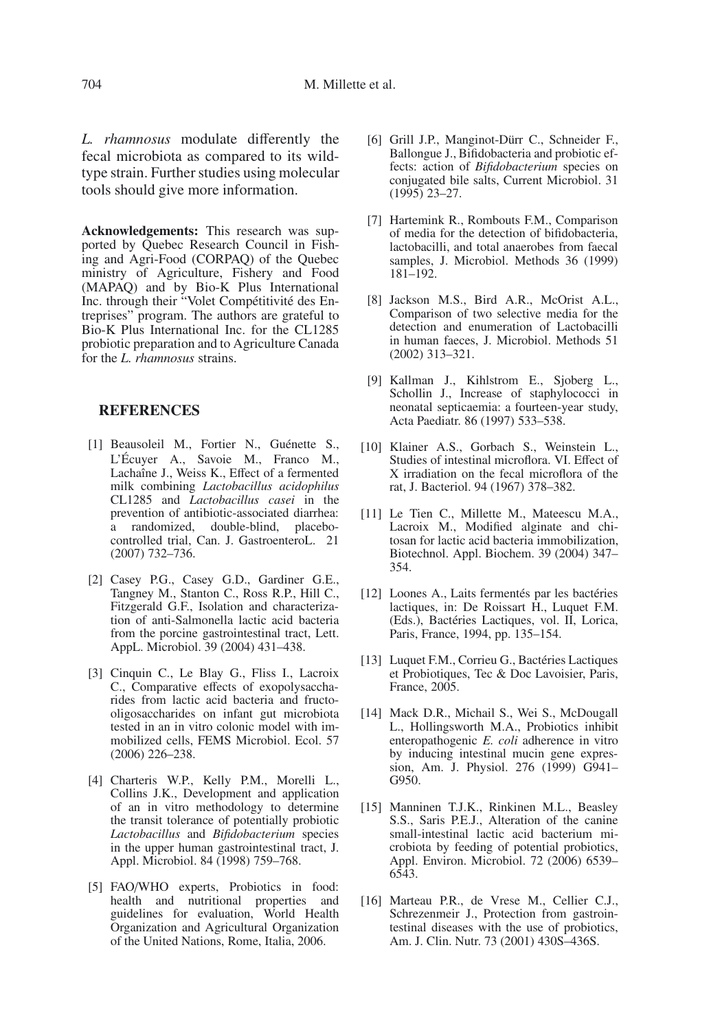*L. rhamnosus* modulate differently the fecal microbiota as compared to its wildtype strain. Further studies using molecular tools should give more information.

**Acknowledgements:** This research was supported by Quebec Research Council in Fishing and Agri-Food (CORPAQ) of the Quebec ministry of Agriculture, Fishery and Food (MAPAQ) and by Bio-K Plus International Inc. through their "Volet Compétitivité des Entreprises" program. The authors are grateful to Bio-K Plus International Inc. for the CL1285 probiotic preparation and to Agriculture Canada for the *L. rhamnosus* strains.

### **REFERENCES**

- <span id="page-9-5"></span>[1] Beausoleil M., Fortier N., Guénette S., L'Écuyer A., Savoie M., Franco M., Lachaîne J., Weiss K., Effect of a fermented milk combining *Lactobacillus acidophilus* CL1285 and *Lactobacillus casei* in the prevention of antibiotic-associated diarrhea: a randomized, double-blind, placebocontrolled trial, Can. J. GastroenteroL. 21 (2007) 732–736.
- <span id="page-9-10"></span>[2] Casey P.G., Casey G.D., Gardiner G.E., Tangney M., Stanton C., Ross R.P., Hill C., Fitzgerald G.F., Isolation and characterization of anti-Salmonella lactic acid bacteria from the porcine gastrointestinal tract, Lett. AppL. Microbiol. 39 (2004) 431–438.
- <span id="page-9-8"></span>[3] Cinquin C., Le Blay G., Fliss I., Lacroix C., Comparative effects of exopolysaccharides from lactic acid bacteria and fructooligosaccharides on infant gut microbiota tested in an in vitro colonic model with immobilized cells, FEMS Microbiol. Ecol. 57 (2006) 226–238.
- <span id="page-9-6"></span>[4] Charteris W.P., Kelly P.M., Morelli L., Collins J.K., Development and application of an in vitro methodology to determine the transit tolerance of potentially probiotic *Lactobacillus* and *Bifidobacterium* species in the upper human gastrointestinal tract, J. Appl. Microbiol. 84 (1998) 759–768.
- <span id="page-9-3"></span>[5] FAO/WHO experts, Probiotics in food: health and nutritional properties and guidelines for evaluation, World Health Organization and Agricultural Organization of the United Nations, Rome, Italia, 2006.
- <span id="page-9-7"></span>[6] Grill J.P., Manginot-Dürr C., Schneider F., Ballongue J., Bifidobacteria and probiotic effects: action of *Bifidobacterium* species on conjugated bile salts, Current Microbiol. 31  $(1995)$  23–27.
- <span id="page-9-12"></span>[7] Hartemink R., Rombouts F.M., Comparison of media for the detection of bifidobacteria, lactobacilli, and total anaerobes from faecal samples, J. Microbiol. Methods 36 (1999) 181–192.
- <span id="page-9-14"></span>[8] Jackson M.S., Bird A.R., McOrist A.L., Comparison of two selective media for the detection and enumeration of Lactobacilli in human faeces, J. Microbiol. Methods 51 (2002) 313–321.
- <span id="page-9-15"></span>[9] Kallman J., Kihlstrom E., Sjoberg L., Schollin J., Increase of staphylococci in neonatal septicaemia: a fourteen-year study, Acta Paediatr. 86 (1997) 533–538.
- <span id="page-9-13"></span>[10] Klainer A.S., Gorbach S., Weinstein L., Studies of intestinal microflora. VI. Effect of X irradiation on the fecal microflora of the rat, J. Bacteriol. 94 (1967) 378–382.
- <span id="page-9-9"></span>[11] Le Tien C., Millette M., Mateescu M.A., Lacroix M., Modified alginate and chitosan for lactic acid bacteria immobilization, Biotechnol. Appl. Biochem. 39 (2004) 347– 354.
- <span id="page-9-0"></span>[12] Loones A., Laits fermentés par les bactéries lactiques, in: De Roissart H., Luquet F.M. (Eds.), Bactéries Lactiques, vol. II, Lorica, Paris, France, 1994, pp. 135–154.
- <span id="page-9-1"></span>[13] Luquet F.M., Corrieu G., Bactéries Lactiques et Probiotiques, Tec & Doc Lavoisier, Paris, France, 2005.
- <span id="page-9-2"></span>[14] Mack D.R., Michail S., Wei S., McDougall L., Hollingsworth M.A., Probiotics inhibit enteropathogenic *E. coli* adherence in vitro by inducing intestinal mucin gene expression, Am. J. Physiol. 276 (1999) G941– G<sub>950</sub>.
- <span id="page-9-11"></span>[15] Manninen T.J.K., Rinkinen M.L., Beasley S.S., Saris P.E.J., Alteration of the canine small-intestinal lactic acid bacterium microbiota by feeding of potential probiotics, Appl. Environ. Microbiol. 72 (2006) 6539– 6543.
- <span id="page-9-4"></span>[16] Marteau P.R., de Vrese M., Cellier C.J., Schrezenmeir J., Protection from gastrointestinal diseases with the use of probiotics, Am. J. Clin. Nutr. 73 (2001) 430S–436S.